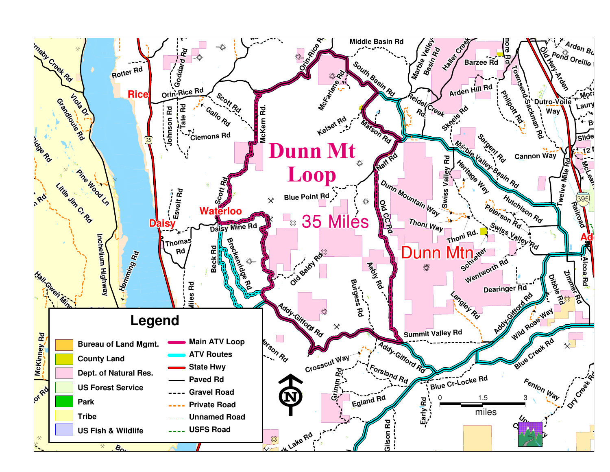